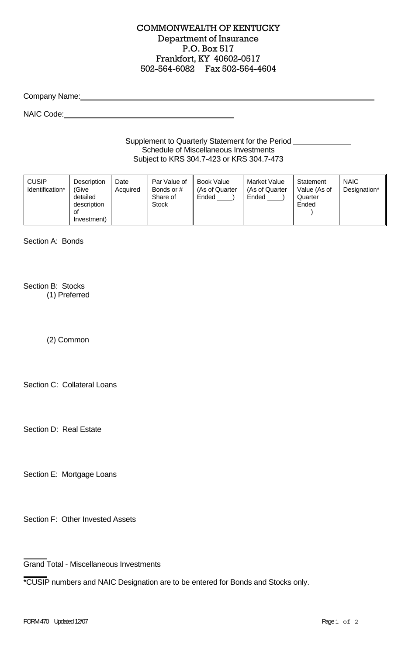## COMMONWEALTH OF KENTUCKY Department of Insurance P.O. Box 517 Frankfort, KY 40602-0517 502-564-6082 Fax 502-564-4604

Company Name:

NAIC Code:

## Supplement to Quarterly Statement for the Period Schedule of Miscellaneous Investments Subject to KRS 304.7-423 or KRS 304.7-473

Section A: Bonds

Section B: Stocks (1) Preferred

(2) Common

Section C: Collateral Loans

Section D: Real Estate

Section E: Mortgage Loans

Section F: Other Invested Assets

Grand Total - Miscellaneous Investments

**TOUSIP** numbers and NAIC Designation are to be entered for Bonds and Stocks only.